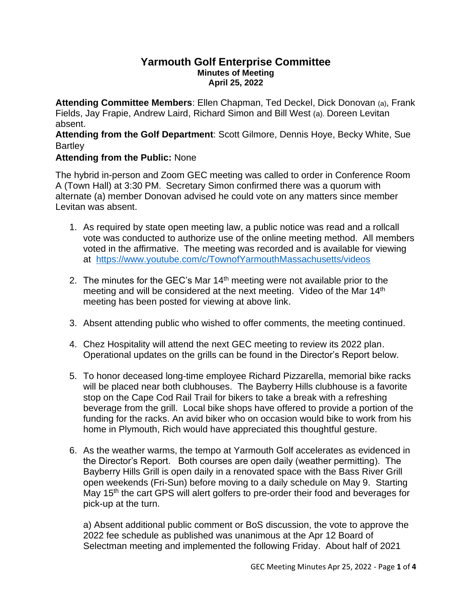## **Yarmouth Golf Enterprise Committee Minutes of Meeting April 25, 2022**

**Attending Committee Members**: Ellen Chapman, Ted Deckel, Dick Donovan (a), Frank Fields, Jay Frapie, Andrew Laird, Richard Simon and Bill West (a). Doreen Levitan absent.

**Attending from the Golf Department**: Scott Gilmore, Dennis Hoye, Becky White, Sue **Bartley** 

## **Attending from the Public:** None

The hybrid in-person and Zoom GEC meeting was called to order in Conference Room A (Town Hall) at 3:30 PM. Secretary Simon confirmed there was a quorum with alternate (a) member Donovan advised he could vote on any matters since member Levitan was absent.

- 1. As required by state open meeting law, a public notice was read and a rollcall vote was conducted to authorize use of the online meeting method. All members voted in the affirmative. The meeting was recorded and is available for viewing at <https://www.youtube.com/c/TownofYarmouthMassachusetts/videos>
- 2. The minutes for the GEC's Mar  $14<sup>th</sup>$  meeting were not available prior to the meeting and will be considered at the next meeting. Video of the Mar 14<sup>th</sup> meeting has been posted for viewing at above link.
- 3. Absent attending public who wished to offer comments, the meeting continued.
- 4. Chez Hospitality will attend the next GEC meeting to review its 2022 plan. Operational updates on the grills can be found in the Director's Report below.
- 5. To honor deceased long-time employee Richard Pizzarella, memorial bike racks will be placed near both clubhouses. The Bayberry Hills clubhouse is a favorite stop on the Cape Cod Rail Trail for bikers to take a break with a refreshing beverage from the grill. Local bike shops have offered to provide a portion of the funding for the racks. An avid biker who on occasion would bike to work from his home in Plymouth, Rich would have appreciated this thoughtful gesture.
- 6. As the weather warms, the tempo at Yarmouth Golf accelerates as evidenced in the Director's Report. Both courses are open daily (weather permitting). The Bayberry Hills Grill is open daily in a renovated space with the Bass River Grill open weekends (Fri-Sun) before moving to a daily schedule on May 9. Starting May 15<sup>th</sup> the cart GPS will alert golfers to pre-order their food and beverages for pick-up at the turn.

a) Absent additional public comment or BoS discussion, the vote to approve the 2022 fee schedule as published was unanimous at the Apr 12 Board of Selectman meeting and implemented the following Friday. About half of 2021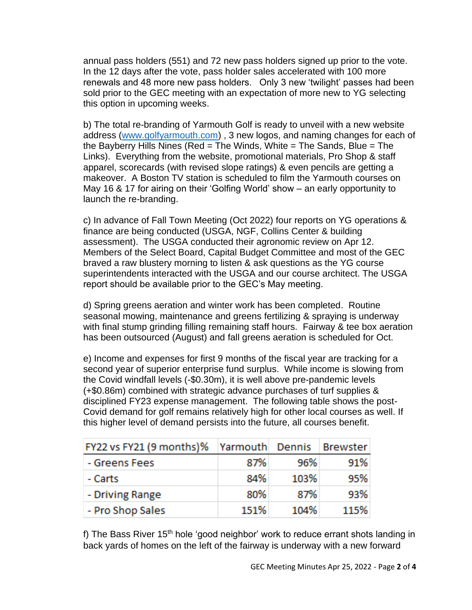annual pass holders (551) and 72 new pass holders signed up prior to the vote. In the 12 days after the vote, pass holder sales accelerated with 100 more renewals and 48 more new pass holders. Only 3 new 'twilight' passes had been sold prior to the GEC meeting with an expectation of more new to YG selecting this option in upcoming weeks.

b) The total re-branding of Yarmouth Golf is ready to unveil with a new website address [\(www.golfyarmouth.com\)](http://www.golfyarmouth.com/) , 3 new logos, and naming changes for each of the Bayberry Hills Nines (Red = The Winds, White = The Sands, Blue = The Links). Everything from the website, promotional materials, Pro Shop & staff apparel, scorecards (with revised slope ratings) & even pencils are getting a makeover. A Boston TV station is scheduled to film the Yarmouth courses on May 16 & 17 for airing on their 'Golfing World' show – an early opportunity to launch the re-branding.

c) In advance of Fall Town Meeting (Oct 2022) four reports on YG operations & finance are being conducted (USGA, NGF, Collins Center & building assessment). The USGA conducted their agronomic review on Apr 12. Members of the Select Board, Capital Budget Committee and most of the GEC braved a raw blustery morning to listen & ask questions as the YG course superintendents interacted with the USGA and our course architect. The USGA report should be available prior to the GEC's May meeting.

d) Spring greens aeration and winter work has been completed. Routine seasonal mowing, maintenance and greens fertilizing & spraying is underway with final stump grinding filling remaining staff hours. Fairway & tee box aeration has been outsourced (August) and fall greens aeration is scheduled for Oct.

e) Income and expenses for first 9 months of the fiscal year are tracking for a second year of superior enterprise fund surplus. While income is slowing from the Covid windfall levels (-\$0.30m), it is well above pre-pandemic levels (+\$0.86m) combined with strategic advance purchases of turf supplies & disciplined FY23 expense management. The following table shows the post-Covid demand for golf remains relatively high for other local courses as well. If this higher level of demand persists into the future, all courses benefit.

| FY22 vs FY21 (9 months)% | Yarmouth Dennis |      | Brewster |
|--------------------------|-----------------|------|----------|
| - Greens Fees            | 87%             | 96%  | 91%      |
| - Carts                  | 84%             | 103% | 95%      |
| - Driving Range          | 80%             | 87%  | 93%      |
| - Pro Shop Sales         | 151%            | 104% | 115%     |

f) The Bass River 15<sup>th</sup> hole 'good neighbor' work to reduce errant shots landing in back yards of homes on the left of the fairway is underway with a new forward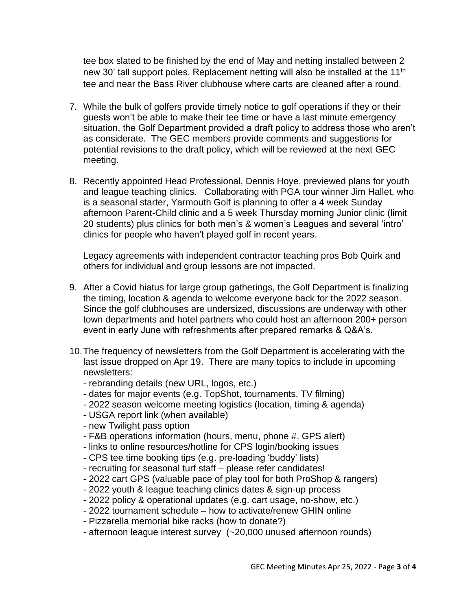tee box slated to be finished by the end of May and netting installed between 2 new 30' tall support poles. Replacement netting will also be installed at the 11<sup>th</sup> tee and near the Bass River clubhouse where carts are cleaned after a round.

- 7. While the bulk of golfers provide timely notice to golf operations if they or their guests won't be able to make their tee time or have a last minute emergency situation, the Golf Department provided a draft policy to address those who aren't as considerate. The GEC members provide comments and suggestions for potential revisions to the draft policy, which will be reviewed at the next GEC meeting.
- 8. Recently appointed Head Professional, Dennis Hoye, previewed plans for youth and league teaching clinics. Collaborating with PGA tour winner Jim Hallet, who is a seasonal starter, Yarmouth Golf is planning to offer a 4 week Sunday afternoon Parent-Child clinic and a 5 week Thursday morning Junior clinic (limit 20 students) plus clinics for both men's & women's Leagues and several 'intro' clinics for people who haven't played golf in recent years.

Legacy agreements with independent contractor teaching pros Bob Quirk and others for individual and group lessons are not impacted.

- 9. After a Covid hiatus for large group gatherings, the Golf Department is finalizing the timing, location & agenda to welcome everyone back for the 2022 season. Since the golf clubhouses are undersized, discussions are underway with other town departments and hotel partners who could host an afternoon 200+ person event in early June with refreshments after prepared remarks & Q&A's.
- 10.The frequency of newsletters from the Golf Department is accelerating with the last issue dropped on Apr 19. There are many topics to include in upcoming newsletters:
	- rebranding details (new URL, logos, etc.)
	- dates for major events (e.g. TopShot, tournaments, TV filming)
	- 2022 season welcome meeting logistics (location, timing & agenda)
	- USGA report link (when available)
	- new Twilight pass option
	- F&B operations information (hours, menu, phone #, GPS alert)
	- links to online resources/hotline for CPS login/booking issues
	- CPS tee time booking tips (e.g. pre-loading 'buddy' lists)
	- recruiting for seasonal turf staff please refer candidates!
	- 2022 cart GPS (valuable pace of play tool for both ProShop & rangers)
	- 2022 youth & league teaching clinics dates & sign-up process
	- 2022 policy & operational updates (e.g. cart usage, no-show, etc.)
	- 2022 tournament schedule how to activate/renew GHIN online
	- Pizzarella memorial bike racks (how to donate?)
	- afternoon league interest survey (~20,000 unused afternoon rounds)